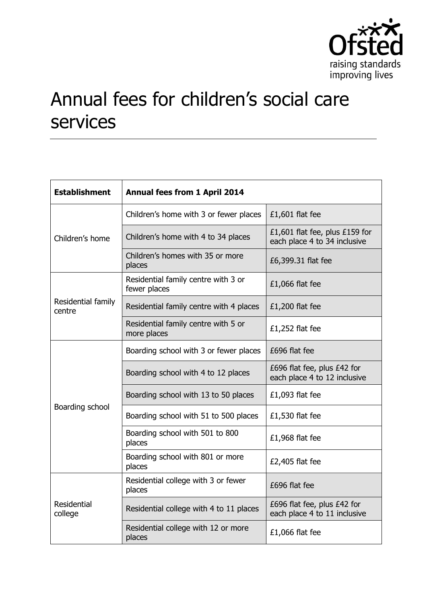

## Annual fees for children's social care services

| <b>Establishment</b>          | Annual fees from 1 April 2014                       |                                                                |
|-------------------------------|-----------------------------------------------------|----------------------------------------------------------------|
| Children's home               | Children's home with 3 or fewer places              | £1,601 flat fee                                                |
|                               | Children's home with 4 to 34 places                 | £1,601 flat fee, plus £159 for<br>each place 4 to 34 inclusive |
|                               | Children's homes with 35 or more<br>places          | £6,399.31 flat fee                                             |
| Residential family<br>centre  | Residential family centre with 3 or<br>fewer places | £1,066 flat fee                                                |
|                               | Residential family centre with 4 places             | $£1,200$ flat fee                                              |
|                               | Residential family centre with 5 or<br>more places  | $£1,252$ flat fee                                              |
| Boarding school               | Boarding school with 3 or fewer places              | £696 flat fee                                                  |
|                               | Boarding school with 4 to 12 places                 | £696 flat fee, plus £42 for<br>each place 4 to 12 inclusive    |
|                               | Boarding school with 13 to 50 places                | £1,093 flat fee                                                |
|                               | Boarding school with 51 to 500 places               | $£1,530$ flat fee                                              |
|                               | Boarding school with 501 to 800<br>places           | £1,968 flat fee                                                |
|                               | Boarding school with 801 or more<br>places          | £2,405 flat fee                                                |
| <b>Residential</b><br>college | Residential college with 3 or fewer<br>places       | £696 flat fee                                                  |
|                               | Residential college with 4 to 11 places             | £696 flat fee, plus £42 for<br>each place 4 to 11 inclusive    |
|                               | Residential college with 12 or more<br>places       | £1,066 flat fee                                                |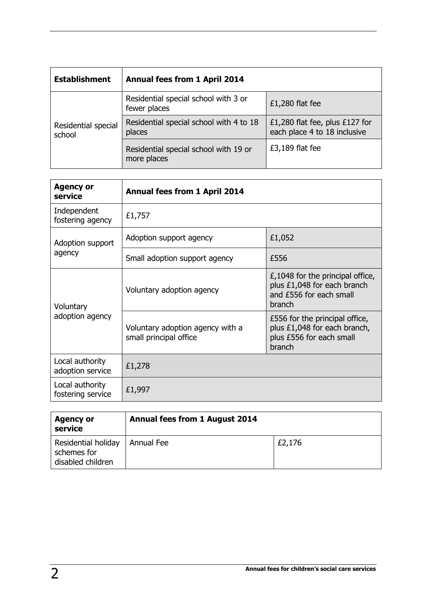| <b>Establishment</b>          | <b>Annual fees from 1 April 2014</b>                 |                                                                |
|-------------------------------|------------------------------------------------------|----------------------------------------------------------------|
| Residential special<br>school | Residential special school with 3 or<br>fewer places | $£1,280$ flat fee                                              |
|                               | Residential special school with 4 to 18<br>places    | £1,280 flat fee, plus £127 for<br>each place 4 to 18 inclusive |
|                               | Residential special school with 19 or<br>more places | £3,189 flat fee                                                |

| <b>Agency or</b><br>service          | <b>Annual fees from 1 April 2014</b>                       |                                                                                                        |
|--------------------------------------|------------------------------------------------------------|--------------------------------------------------------------------------------------------------------|
| Independent<br>fostering agency      | £1,757                                                     |                                                                                                        |
| Adoption support<br>agency           | Adoption support agency                                    | £1,052                                                                                                 |
|                                      | Small adoption support agency                              | £556                                                                                                   |
| Voluntary<br>adoption agency         | Voluntary adoption agency                                  | $E,1048$ for the principal office,<br>plus £1,048 for each branch<br>and £556 for each small<br>branch |
|                                      | Voluntary adoption agency with a<br>small principal office | £556 for the principal office,<br>plus £1,048 for each branch,<br>plus £556 for each small<br>branch   |
| Local authority<br>adoption service  | £1,278                                                     |                                                                                                        |
| Local authority<br>fostering service | £1,997                                                     |                                                                                                        |

| <b>Agency or</b><br>service                             | <b>Annual fees from 1 August 2014</b> |        |
|---------------------------------------------------------|---------------------------------------|--------|
| Residential holiday<br>schemes for<br>disabled children | Annual Fee                            | £2,176 |